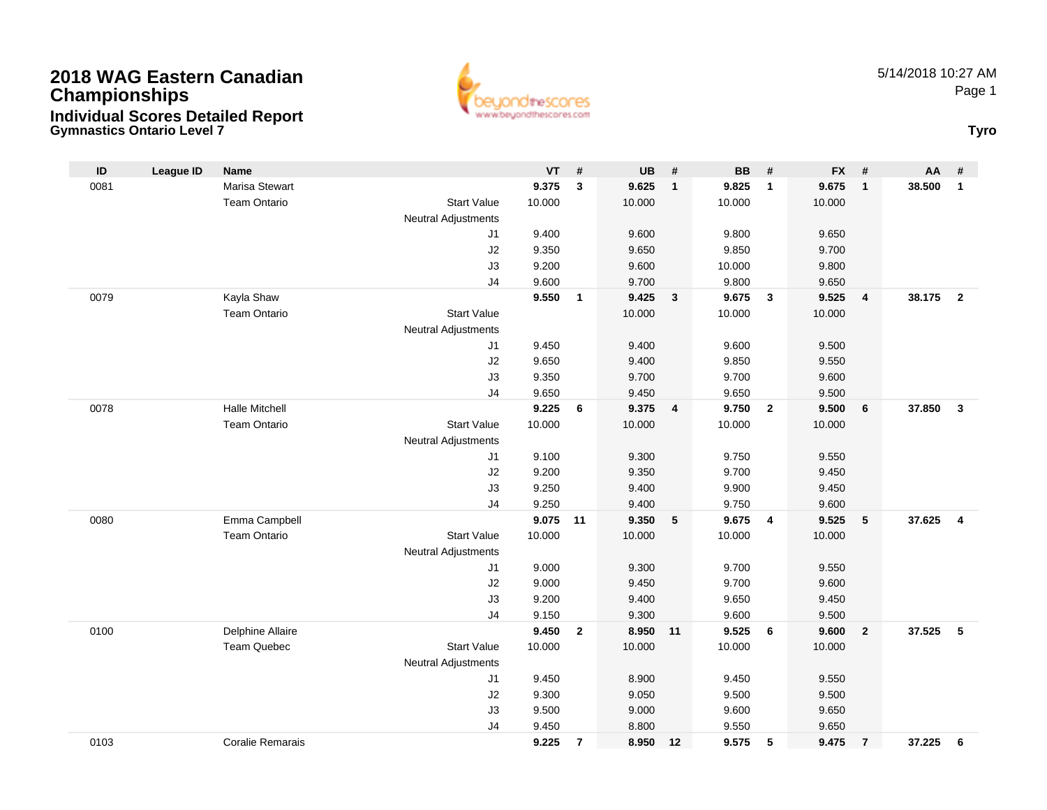

**Gymnastics Ontario Level 7 Tyro**

| $\mathsf{ID}$ | <b>League ID</b> | Name                    |                            | $VT$ #         |                | UB             | #              | BB             | #              | <b>FX</b>      | #               | AA     | #                       |
|---------------|------------------|-------------------------|----------------------------|----------------|----------------|----------------|----------------|----------------|----------------|----------------|-----------------|--------|-------------------------|
| 0081          |                  | <b>Marisa Stewart</b>   |                            | 9.375          | 3              | 9.625          | $\mathbf{1}$   | 9.825          | $\overline{1}$ | 9.675          | $\overline{1}$  | 38.500 | $\mathbf{1}$            |
|               |                  | <b>Team Ontario</b>     | <b>Start Value</b>         | 10.000         |                | 10.000         |                | 10.000         |                | 10.000         |                 |        |                         |
|               |                  |                         | <b>Neutral Adjustments</b> |                |                |                |                |                |                |                |                 |        |                         |
|               |                  |                         | J1                         | 9.400          |                | 9.600          |                | 9.800          |                | 9.650          |                 |        |                         |
|               |                  |                         | J2                         | 9.350          |                | 9.650          |                | 9.850          |                | 9.700          |                 |        |                         |
|               |                  |                         | J3                         | 9.200          |                | 9.600          |                | 10.000         |                | 9.800          |                 |        |                         |
|               |                  |                         | J <sub>4</sub>             | 9.600          |                | 9.700          |                | 9.800          |                | 9.650          |                 |        |                         |
| 0079          |                  | Kayla Shaw              |                            | 9.550          | $\mathbf{1}$   | 9.425          | $\mathbf{3}$   | 9.675          | $\mathbf{3}$   | 9.525          | $\overline{4}$  | 38.175 | $\overline{2}$          |
|               |                  | <b>Team Ontario</b>     | <b>Start Value</b>         |                |                | 10.000         |                | 10.000         |                | 10.000         |                 |        |                         |
|               |                  |                         | <b>Neutral Adjustments</b> |                |                |                |                |                |                |                |                 |        |                         |
|               |                  |                         | J1                         | 9.450          |                | 9.400          |                | 9.600          |                | 9.500          |                 |        |                         |
|               |                  |                         | J2                         | 9.650          |                | 9.400          |                | 9.850          |                | 9.550          |                 |        |                         |
|               |                  |                         | J3                         | 9.350          |                | 9.700          |                | 9.700          |                | 9.600          |                 |        |                         |
|               |                  |                         | J <sub>4</sub>             | 9.650          |                | 9.450          |                | 9.650          |                | 9.500          |                 |        |                         |
| 0078          |                  | <b>Halle Mitchell</b>   |                            | 9.225          | 6              | 9.375          | $\overline{4}$ | 9.750          | $\overline{2}$ | 9.500          | $6\phantom{1}6$ | 37.850 | $\overline{\mathbf{3}}$ |
|               |                  | <b>Team Ontario</b>     | <b>Start Value</b>         | 10.000         |                | 10.000         |                | 10.000         |                | 10.000         |                 |        |                         |
|               |                  |                         | <b>Neutral Adjustments</b> |                |                |                |                |                |                |                |                 |        |                         |
|               |                  |                         | J1                         | 9.100          |                | 9.300          |                | 9.750          |                | 9.550          |                 |        |                         |
|               |                  |                         | J2                         | 9.200          |                | 9.350          |                | 9.700          |                | 9.450          |                 |        |                         |
|               |                  |                         | J3                         | 9.250          |                | 9.400          |                | 9.900          |                | 9.450          |                 |        |                         |
|               |                  |                         | J <sub>4</sub>             | 9.250          |                | 9.400          |                | 9.750          |                | 9.600          |                 |        |                         |
| 0080          |                  | Emma Campbell           |                            | 9.075          | 11             | 9.350          | 5              | 9.675          | $\overline{4}$ | 9.525          | $5\phantom{.0}$ | 37.625 | $\overline{4}$          |
|               |                  | Team Ontario            | <b>Start Value</b>         | 10.000         |                | 10.000         |                | 10.000         |                | 10.000         |                 |        |                         |
|               |                  |                         | <b>Neutral Adjustments</b> |                |                |                |                |                |                |                |                 |        |                         |
|               |                  |                         | J1                         | 9.000          |                | 9.300          |                | 9.700          |                | 9.550          |                 |        |                         |
|               |                  |                         | J2                         | 9.000          |                | 9.450          |                | 9.700          |                | 9.600          |                 |        |                         |
|               |                  |                         | J3                         | 9.200          |                | 9.400          |                | 9.650          |                | 9.450          |                 |        |                         |
| 0100          |                  | Delphine Allaire        | J <sub>4</sub>             | 9.150<br>9.450 | $\mathbf{2}$   | 9.300<br>8.950 | 11             | 9.600<br>9.525 | 6              | 9.500<br>9.600 | $\overline{2}$  | 37.525 | 5                       |
|               |                  | <b>Team Quebec</b>      | <b>Start Value</b>         | 10.000         |                | 10.000         |                | 10.000         |                | 10.000         |                 |        |                         |
|               |                  |                         | <b>Neutral Adjustments</b> |                |                |                |                |                |                |                |                 |        |                         |
|               |                  |                         | J <sub>1</sub>             | 9.450          |                | 8.900          |                | 9.450          |                | 9.550          |                 |        |                         |
|               |                  |                         | J2                         | 9.300          |                | 9.050          |                | 9.500          |                | 9.500          |                 |        |                         |
|               |                  |                         | J3                         | 9.500          |                | 9.000          |                | 9.600          |                | 9.650          |                 |        |                         |
|               |                  |                         | J <sub>4</sub>             | 9.450          |                | 8.800          |                | 9.550          |                | 9.650          |                 |        |                         |
| 0103          |                  | <b>Coralie Remarais</b> |                            | 9.225          | $\overline{7}$ | 8.950          | 12             | 9.575          | 5              | 9.475          | $\overline{7}$  | 37.225 | 6                       |
|               |                  |                         |                            |                |                |                |                |                |                |                |                 |        |                         |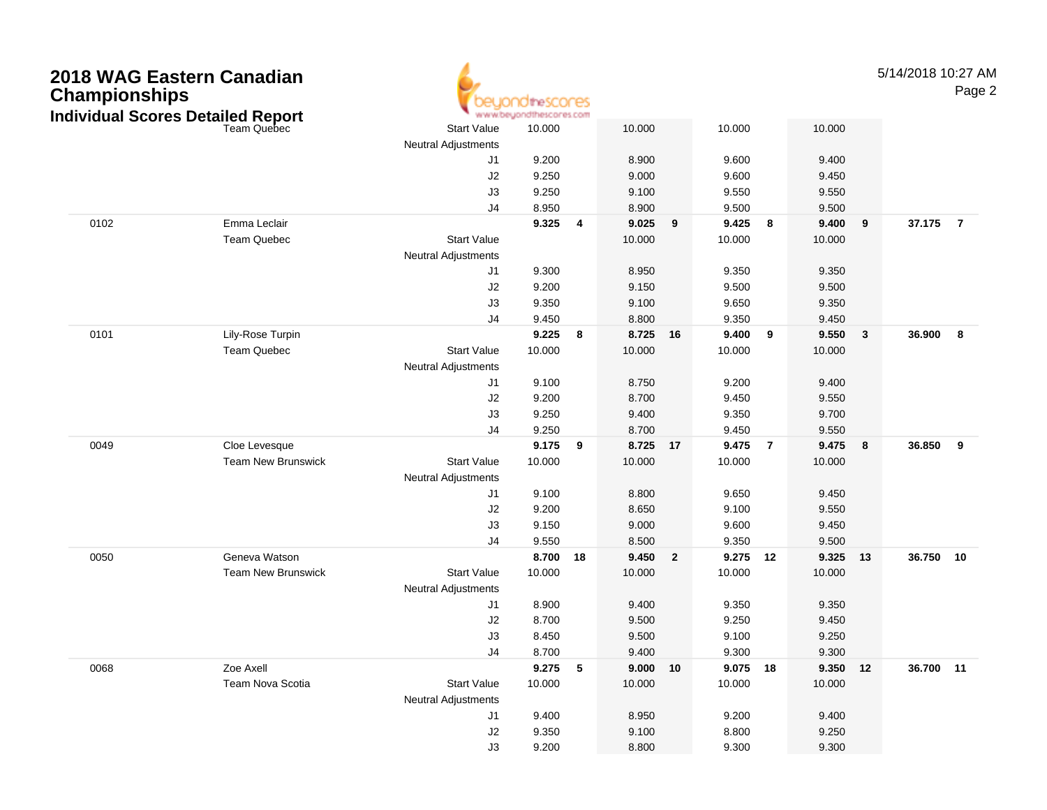| 2018 WAG Eastern Canadian<br><b>Championships</b><br><b>Individual Scores Detailed Report</b> |                           |                                                  | idtheSCONes<br>www.beyondthescores.com |                         |        |                |          |                |          |              | 5/14/2018 10:27 AM | Page 2         |
|-----------------------------------------------------------------------------------------------|---------------------------|--------------------------------------------------|----------------------------------------|-------------------------|--------|----------------|----------|----------------|----------|--------------|--------------------|----------------|
|                                                                                               |                           | <b>Start Value</b>                               | 10.000                                 |                         | 10.000 |                | 10.000   |                | 10.000   |              |                    |                |
|                                                                                               |                           | <b>Neutral Adjustments</b>                       |                                        |                         |        |                |          |                |          |              |                    |                |
|                                                                                               |                           | J <sub>1</sub>                                   | 9.200                                  |                         | 8.900  |                | 9.600    |                | 9.400    |              |                    |                |
|                                                                                               |                           | J2                                               | 9.250                                  |                         | 9.000  |                | 9.600    |                | 9.450    |              |                    |                |
|                                                                                               |                           | J3                                               | 9.250                                  |                         | 9.100  |                | 9.550    |                | 9.550    |              |                    |                |
|                                                                                               |                           | J <sub>4</sub>                                   | 8.950                                  |                         | 8.900  |                | 9.500    |                | 9.500    |              |                    |                |
| 0102                                                                                          | Emma Leclair              |                                                  | 9.325                                  | $\overline{\mathbf{4}}$ | 9.025  | 9              | 9.425    | 8              | 9.400    | 9            | 37.175             | $\overline{7}$ |
|                                                                                               | Team Quebec               | <b>Start Value</b>                               |                                        |                         | 10.000 |                | 10.000   |                | 10.000   |              |                    |                |
|                                                                                               |                           | <b>Neutral Adjustments</b>                       |                                        |                         |        |                |          |                |          |              |                    |                |
|                                                                                               |                           | J <sub>1</sub>                                   | 9.300                                  |                         | 8.950  |                | 9.350    |                | 9.350    |              |                    |                |
|                                                                                               |                           | J2                                               | 9.200                                  |                         | 9.150  |                | 9.500    |                | 9.500    |              |                    |                |
|                                                                                               |                           | J3                                               | 9.350                                  |                         | 9.100  |                | 9.650    |                | 9.350    |              |                    |                |
|                                                                                               |                           | J <sub>4</sub>                                   | 9.450                                  |                         | 8.800  |                | 9.350    |                | 9.450    |              |                    |                |
| 0101                                                                                          | Lily-Rose Turpin          |                                                  | 9.225                                  | 8                       | 8.725  | 16             | 9.400    | 9              | 9.550    | $\mathbf{3}$ | 36.900             | 8              |
|                                                                                               | Team Quebec               | <b>Start Value</b>                               | 10.000                                 |                         | 10.000 |                | 10.000   |                | 10.000   |              |                    |                |
|                                                                                               |                           | <b>Neutral Adjustments</b>                       |                                        |                         |        |                |          |                |          |              |                    |                |
|                                                                                               |                           | J <sub>1</sub>                                   | 9.100                                  |                         | 8.750  |                | 9.200    |                | 9.400    |              |                    |                |
|                                                                                               |                           | J2                                               | 9.200                                  |                         | 8.700  |                | 9.450    |                | 9.550    |              |                    |                |
|                                                                                               |                           | J3                                               | 9.250                                  |                         | 9.400  |                | 9.350    |                | 9.700    |              |                    |                |
|                                                                                               |                           | J <sub>4</sub>                                   | 9.250                                  |                         | 8.700  |                | 9.450    |                | 9.550    |              |                    |                |
| 0049                                                                                          | Cloe Levesque             |                                                  | 9.175                                  | 9                       | 8.725  | 17             | 9.475    | $\overline{7}$ | 9.475    | 8            | 36.850             | 9              |
|                                                                                               | <b>Team New Brunswick</b> | <b>Start Value</b>                               | 10.000                                 |                         | 10.000 |                | 10.000   |                | 10.000   |              |                    |                |
|                                                                                               |                           | <b>Neutral Adjustments</b>                       |                                        |                         |        |                |          |                |          |              |                    |                |
|                                                                                               |                           | J <sub>1</sub>                                   | 9.100                                  |                         | 8.800  |                | 9.650    |                | 9.450    |              |                    |                |
|                                                                                               |                           | J2                                               | 9.200                                  |                         | 8.650  |                | 9.100    |                | 9.550    |              |                    |                |
|                                                                                               |                           | J3                                               | 9.150                                  |                         | 9.000  |                | 9.600    |                | 9.450    |              |                    |                |
|                                                                                               |                           | J <sub>4</sub>                                   | 9.550                                  |                         | 8.500  |                | 9.350    |                | 9.500    |              |                    |                |
| 0050                                                                                          | Geneva Watson             |                                                  | 8.700                                  | 18                      | 9.450  | $\overline{2}$ | 9.275    | 12             | 9.325    | 13           | 36.750             | 10             |
|                                                                                               | <b>Team New Brunswick</b> | <b>Start Value</b><br><b>Neutral Adjustments</b> | 10.000                                 |                         | 10.000 |                | 10.000   |                | 10.000   |              |                    |                |
|                                                                                               |                           | J <sub>1</sub>                                   | 8.900                                  |                         | 9.400  |                | 9.350    |                | 9.350    |              |                    |                |
|                                                                                               |                           | J2                                               | 8.700                                  |                         | 9.500  |                | 9.250    |                | 9.450    |              |                    |                |
|                                                                                               |                           | J3                                               | 8.450                                  |                         | 9.500  |                | 9.100    |                | 9.250    |              |                    |                |
|                                                                                               |                           | J4                                               | 8.700                                  |                         | 9.400  |                | 9.300    |                | 9.300    |              |                    |                |
| 0068                                                                                          | Zoe Axell                 |                                                  | 9.275 5                                |                         | 9.000  | 10             | 9.075 18 |                | 9.350 12 |              | 36.700 11          |                |
|                                                                                               | Team Nova Scotia          | <b>Start Value</b>                               | 10.000                                 |                         | 10.000 |                | 10.000   |                | 10.000   |              |                    |                |
|                                                                                               |                           | <b>Neutral Adjustments</b>                       |                                        |                         |        |                |          |                |          |              |                    |                |
|                                                                                               |                           | J1                                               | 9.400                                  |                         | 8.950  |                | 9.200    |                | 9.400    |              |                    |                |
|                                                                                               |                           | J2                                               | 9.350                                  |                         | 9.100  |                | 8.800    |                | 9.250    |              |                    |                |
|                                                                                               |                           | J3                                               | 9.200                                  |                         | 8.800  |                | 9.300    |                | 9.300    |              |                    |                |
|                                                                                               |                           |                                                  |                                        |                         |        |                |          |                |          |              |                    |                |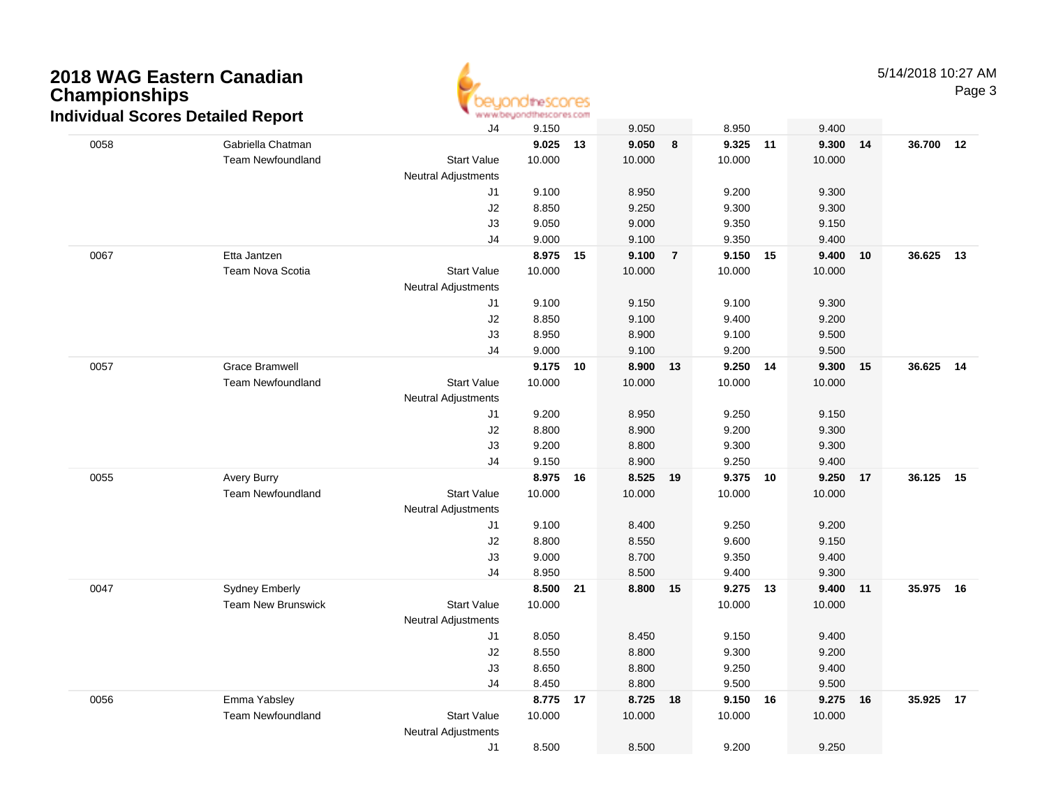

|      | ndividual Scores Detailed Report |                            | www.oeyonathescores.com |      |        |                |          |    |          |           |  |
|------|----------------------------------|----------------------------|-------------------------|------|--------|----------------|----------|----|----------|-----------|--|
|      |                                  | J4                         | 9.150                   |      | 9.050  |                | 8.950    |    | 9.400    |           |  |
| 0058 | Gabriella Chatman                |                            | 9.025                   | 13   | 9.050  | 8              | 9.325    | 11 | 9.300 14 | 36.700 12 |  |
|      | Team Newfoundland                | <b>Start Value</b>         | 10.000                  |      | 10.000 |                | 10.000   |    | 10.000   |           |  |
|      |                                  | <b>Neutral Adjustments</b> |                         |      |        |                |          |    |          |           |  |
|      |                                  | J1                         | 9.100                   |      | 8.950  |                | 9.200    |    | 9.300    |           |  |
|      |                                  | J2                         | 8.850                   |      | 9.250  |                | 9.300    |    | 9.300    |           |  |
|      |                                  | J3                         | 9.050                   |      | 9.000  |                | 9.350    |    | 9.150    |           |  |
|      |                                  | J4                         | 9.000                   |      | 9.100  |                | 9.350    |    | 9.400    |           |  |
| 0067 | Etta Jantzen                     |                            | 8.975                   | - 15 | 9.100  | $\overline{7}$ | 9.150    | 15 | 9.400 10 | 36.625 13 |  |
|      | <b>Team Nova Scotia</b>          | <b>Start Value</b>         | 10.000                  |      | 10.000 |                | 10.000   |    | 10.000   |           |  |
|      |                                  | <b>Neutral Adjustments</b> |                         |      |        |                |          |    |          |           |  |
|      |                                  | J1                         | 9.100                   |      | 9.150  |                | 9.100    |    | 9.300    |           |  |
|      |                                  | J2                         | 8.850                   |      | 9.100  |                | 9.400    |    | 9.200    |           |  |
|      |                                  | J3                         | 8.950                   |      | 8.900  |                | 9.100    |    | 9.500    |           |  |
|      |                                  | J4                         | 9.000                   |      | 9.100  |                | 9.200    |    | 9.500    |           |  |
| 0057 | <b>Grace Bramwell</b>            |                            | 9.175                   | 10   | 8.900  | 13             | 9.250    | 14 | 9.300 15 | 36.625 14 |  |
|      | <b>Team Newfoundland</b>         | <b>Start Value</b>         | 10.000                  |      | 10.000 |                | 10.000   |    | 10.000   |           |  |
|      |                                  | Neutral Adjustments        |                         |      |        |                |          |    |          |           |  |
|      |                                  | J1                         | 9.200                   |      | 8.950  |                | 9.250    |    | 9.150    |           |  |
|      |                                  | J2                         | 8.800                   |      | 8.900  |                | 9.200    |    | 9.300    |           |  |
|      |                                  | J3                         | 9.200                   |      | 8.800  |                | 9.300    |    | 9.300    |           |  |
|      |                                  | J4                         | 9.150                   |      | 8.900  |                | 9.250    |    | 9.400    |           |  |
| 0055 | <b>Avery Burry</b>               |                            | 8.975                   | - 16 | 8.525  | 19             | 9.375    | 10 | 9.250 17 | 36.125 15 |  |
|      | <b>Team Newfoundland</b>         | <b>Start Value</b>         | 10.000                  |      | 10.000 |                | 10.000   |    | 10.000   |           |  |
|      |                                  | Neutral Adjustments        |                         |      |        |                |          |    |          |           |  |
|      |                                  | J1                         | 9.100                   |      | 8.400  |                | 9.250    |    | 9.200    |           |  |
|      |                                  | J2                         | 8.800                   |      | 8.550  |                | 9.600    |    | 9.150    |           |  |
|      |                                  | J3                         | 9.000                   |      | 8.700  |                | 9.350    |    | 9.400    |           |  |
|      |                                  | J4                         | 8.950                   |      | 8.500  |                | 9.400    |    | 9.300    |           |  |
| 0047 | <b>Sydney Emberly</b>            |                            | 8.500                   | 21   | 8.800  | 15             | 9.275 13 |    | 9.400 11 | 35.975 16 |  |
|      | <b>Team New Brunswick</b>        | <b>Start Value</b>         | 10.000                  |      |        |                | 10.000   |    | 10.000   |           |  |
|      |                                  | Neutral Adjustments        |                         |      |        |                |          |    |          |           |  |
|      |                                  | J1                         | 8.050                   |      | 8.450  |                | 9.150    |    | 9.400    |           |  |
|      |                                  | J2                         | 8.550                   |      | 8.800  |                | 9.300    |    | 9.200    |           |  |
|      |                                  | J3                         | 8.650                   |      | 8.800  |                | 9.250    |    | 9.400    |           |  |
|      |                                  | J4                         | 8.450                   |      | 8.800  |                | 9.500    |    | 9.500    |           |  |
| 0056 | Emma Yabsley                     |                            | 8.775 17                |      | 8.725  | 18             | 9.150 16 |    | 9.275 16 | 35.925 17 |  |
|      | <b>Team Newfoundland</b>         | <b>Start Value</b>         | 10.000                  |      | 10.000 |                | 10.000   |    | 10.000   |           |  |
|      |                                  | Neutral Adjustments        |                         |      |        |                |          |    |          |           |  |
|      |                                  | J1                         | 8.500                   |      | 8.500  |                | 9.200    |    | 9.250    |           |  |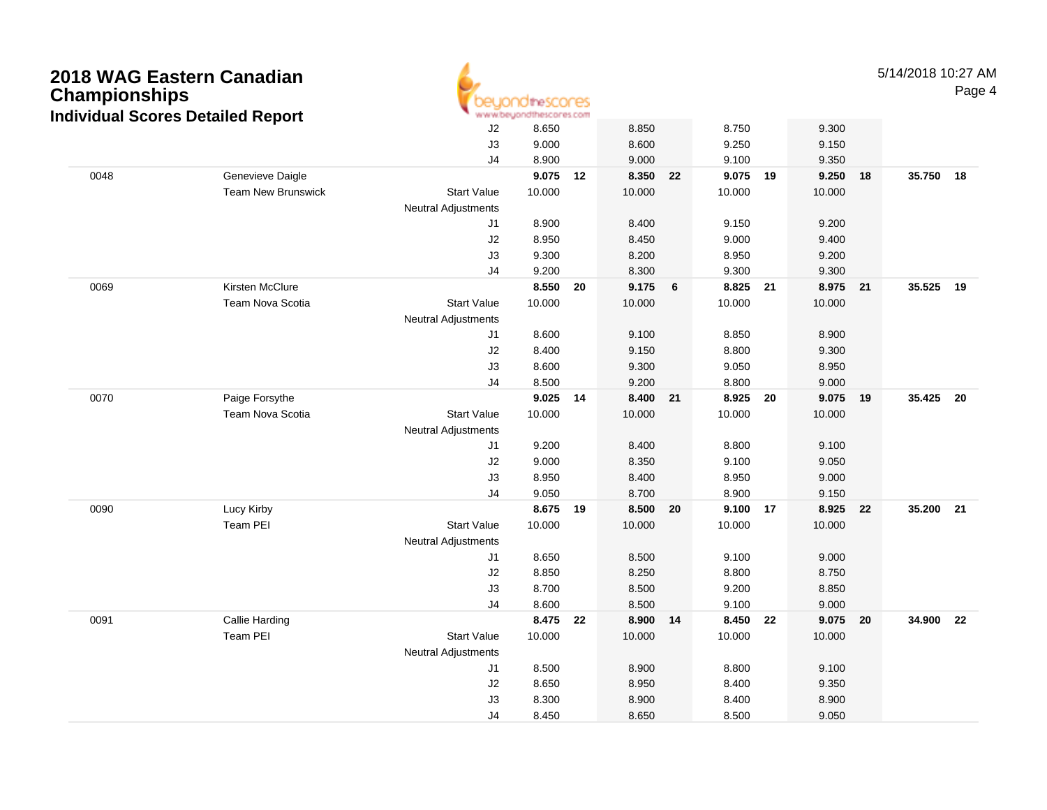| 2018 WAG Eastern Canadian<br><b>Championships</b><br><b>Individual Scores Detailed Report</b> |                           |                            | <i><b>Inescores</b></i><br>www.beyondthescores.com |    |        |    |          |    |          |    | 5/14/2018 10:27 AM | Page 4 |
|-----------------------------------------------------------------------------------------------|---------------------------|----------------------------|----------------------------------------------------|----|--------|----|----------|----|----------|----|--------------------|--------|
|                                                                                               |                           | J2                         | 8.650                                              |    | 8.850  |    | 8.750    |    | 9.300    |    |                    |        |
|                                                                                               |                           | J3                         | 9.000                                              |    | 8.600  |    | 9.250    |    | 9.150    |    |                    |        |
|                                                                                               |                           | J4                         | 8.900                                              |    | 9.000  |    | 9.100    |    | 9.350    |    |                    |        |
| 0048                                                                                          | Genevieve Daigle          |                            | 9.075 12                                           |    | 8.350  | 22 | 9.075 19 |    | 9.250    | 18 | 35.750 18          |        |
|                                                                                               | <b>Team New Brunswick</b> | <b>Start Value</b>         | 10.000                                             |    | 10.000 |    | 10.000   |    | 10.000   |    |                    |        |
|                                                                                               |                           | Neutral Adjustments        |                                                    |    |        |    |          |    |          |    |                    |        |
|                                                                                               |                           | J1                         | 8.900                                              |    | 8.400  |    | 9.150    |    | 9.200    |    |                    |        |
|                                                                                               |                           | J2                         | 8.950                                              |    | 8.450  |    | 9.000    |    | 9.400    |    |                    |        |
|                                                                                               |                           | J3                         | 9.300                                              |    | 8.200  |    | 8.950    |    | 9.200    |    |                    |        |
|                                                                                               |                           | J4                         | 9.200                                              |    | 8.300  |    | 9.300    |    | 9.300    |    |                    |        |
| 0069                                                                                          | Kirsten McClure           |                            | 8.550 20                                           |    | 9.175  | 6  | 8.825 21 |    | 8.975 21 |    | 35.525 19          |        |
|                                                                                               | <b>Team Nova Scotia</b>   | <b>Start Value</b>         | 10.000                                             |    | 10.000 |    | 10.000   |    | 10.000   |    |                    |        |
|                                                                                               |                           | <b>Neutral Adjustments</b> |                                                    |    |        |    |          |    |          |    |                    |        |
|                                                                                               |                           | J1                         | 8.600                                              |    | 9.100  |    | 8.850    |    | 8.900    |    |                    |        |
|                                                                                               |                           | J2                         | 8.400                                              |    | 9.150  |    | 8.800    |    | 9.300    |    |                    |        |
|                                                                                               |                           | J3                         | 8.600                                              |    | 9.300  |    | 9.050    |    | 8.950    |    |                    |        |
|                                                                                               |                           | J4                         | 8.500                                              |    | 9.200  |    | 8.800    |    | 9.000    |    |                    |        |
| 0070                                                                                          | Paige Forsythe            |                            | 9.025                                              | 14 | 8.400  | 21 | 8.925    | 20 | 9.075 19 |    | 35.425 20          |        |
|                                                                                               | Team Nova Scotia          | <b>Start Value</b>         | 10.000                                             |    | 10.000 |    | 10.000   |    | 10.000   |    |                    |        |
|                                                                                               |                           | Neutral Adjustments        |                                                    |    |        |    |          |    |          |    |                    |        |
|                                                                                               |                           | J1                         | 9.200                                              |    | 8.400  |    | 8.800    |    | 9.100    |    |                    |        |
|                                                                                               |                           | J2                         | 9.000                                              |    | 8.350  |    | 9.100    |    | 9.050    |    |                    |        |
|                                                                                               |                           | J3                         | 8.950                                              |    | 8.400  |    | 8.950    |    | 9.000    |    |                    |        |
|                                                                                               |                           | J4                         | 9.050                                              |    | 8.700  |    | 8.900    |    | 9.150    |    |                    |        |
| 0090                                                                                          | Lucy Kirby                |                            | 8.675 19                                           |    | 8.500  | 20 | 9.100 17 |    | 8.925    | 22 | 35.200 21          |        |
|                                                                                               | Team PEI                  | <b>Start Value</b>         | 10.000                                             |    | 10.000 |    | 10.000   |    | 10.000   |    |                    |        |
|                                                                                               |                           | Neutral Adjustments        |                                                    |    |        |    |          |    |          |    |                    |        |
|                                                                                               |                           | J1                         | 8.650                                              |    | 8.500  |    | 9.100    |    | 9.000    |    |                    |        |
|                                                                                               |                           | J2                         | 8.850                                              |    | 8.250  |    | 8.800    |    | 8.750    |    |                    |        |
|                                                                                               |                           | J3                         | 8.700                                              |    | 8.500  |    | 9.200    |    | 8.850    |    |                    |        |
|                                                                                               |                           | J4                         | 8.600                                              |    | 8.500  |    | 9.100    |    | 9.000    |    |                    |        |
| 0091                                                                                          | Callie Harding            |                            | 8.475 22                                           |    | 8.900  | 14 | 8.450    | 22 | 9.075    | 20 | 34.900 22          |        |
|                                                                                               | <b>Team PEI</b>           | <b>Start Value</b>         | 10.000                                             |    | 10.000 |    | 10.000   |    | 10.000   |    |                    |        |
|                                                                                               |                           | Neutral Adjustments        |                                                    |    |        |    |          |    |          |    |                    |        |
|                                                                                               |                           | J1                         | 8.500                                              |    | 8.900  |    | 8.800    |    | 9.100    |    |                    |        |
|                                                                                               |                           | J2                         | 8.650                                              |    | 8.950  |    | 8.400    |    | 9.350    |    |                    |        |
|                                                                                               |                           | J3                         | 8.300                                              |    | 8.900  |    | 8.400    |    | 8.900    |    |                    |        |
|                                                                                               |                           | J4                         | 8.450                                              |    | 8.650  |    | 8.500    |    | 9.050    |    |                    |        |

 $\overline{A}$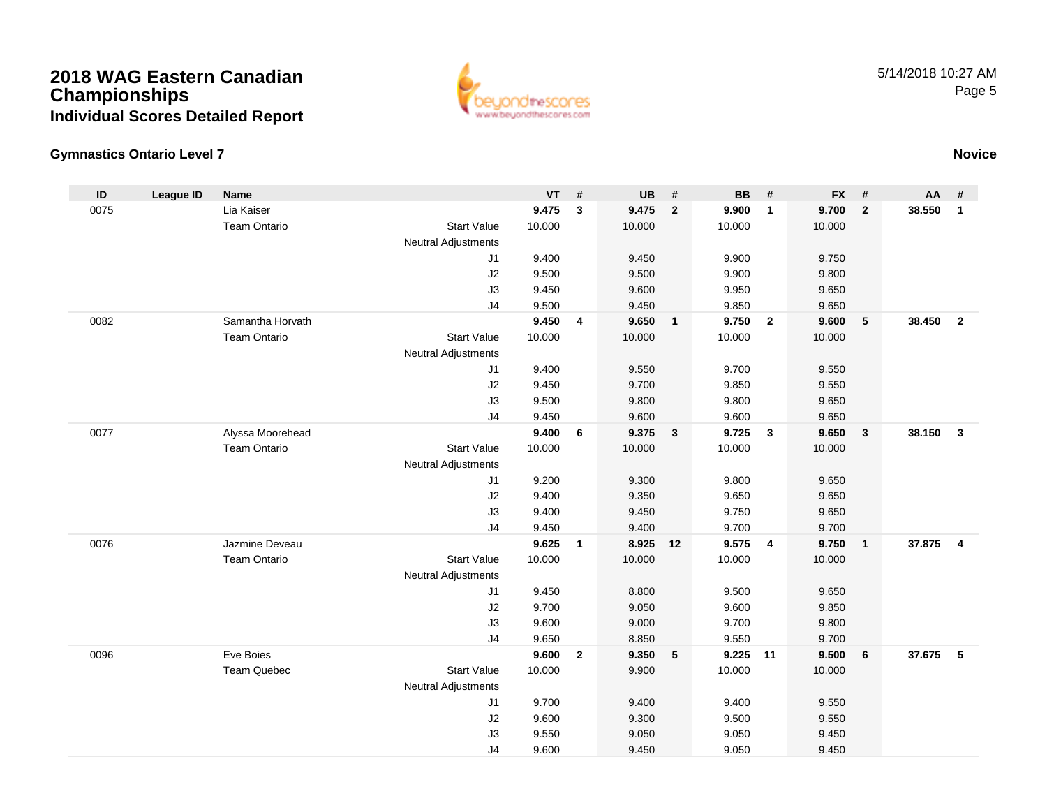

### **Gymnastics Ontario Level 7**

| $\mathsf{ID}$ | <b>League ID</b> | <b>Name</b>         |                            | $VT$ #         |              | <b>UB</b>      | #                       | <b>BB</b>      | #                       | <b>FX</b>      | #                       | AA       | #              |
|---------------|------------------|---------------------|----------------------------|----------------|--------------|----------------|-------------------------|----------------|-------------------------|----------------|-------------------------|----------|----------------|
| 0075          |                  | Lia Kaiser          |                            | 9.475          | 3            | 9.475          | $\overline{2}$          | 9.900          | $\mathbf{1}$            | 9.700          | $\mathbf{2}$            | 38.550   | $\mathbf{1}$   |
|               |                  | <b>Team Ontario</b> | <b>Start Value</b>         | 10.000         |              | 10.000         |                         | 10.000         |                         | 10.000         |                         |          |                |
|               |                  |                     | <b>Neutral Adjustments</b> |                |              |                |                         |                |                         |                |                         |          |                |
|               |                  |                     | J1                         | 9.400          |              | 9.450          |                         | 9.900          |                         | 9.750          |                         |          |                |
|               |                  |                     | $\sf J2$                   | 9.500          |              | 9.500          |                         | 9.900          |                         | 9.800          |                         |          |                |
|               |                  |                     | J3                         | 9.450          |              | 9.600          |                         | 9.950          |                         | 9.650          |                         |          |                |
|               |                  |                     | J <sub>4</sub>             | 9.500          |              | 9.450          |                         | 9.850          |                         | 9.650          |                         |          |                |
| 0082          |                  | Samantha Horvath    |                            | 9.450          | 4            | 9.650          | $\overline{1}$          | 9.750          | $\overline{\mathbf{2}}$ | 9.600          | 5                       | 38.450   | $\overline{2}$ |
|               |                  | <b>Team Ontario</b> | <b>Start Value</b>         | 10.000         |              | 10.000         |                         | 10.000         |                         | 10.000         |                         |          |                |
|               |                  |                     | <b>Neutral Adjustments</b> |                |              |                |                         |                |                         |                |                         |          |                |
|               |                  |                     | J1                         | 9.400          |              | 9.550          |                         | 9.700          |                         | 9.550          |                         |          |                |
|               |                  |                     | J2                         | 9.450          |              | 9.700          |                         | 9.850          |                         | 9.550          |                         |          |                |
|               |                  |                     | J3                         | 9.500          |              | 9.800          |                         | 9.800          |                         | 9.650          |                         |          |                |
|               |                  |                     | J <sub>4</sub>             | 9.450          |              | 9.600          |                         | 9.600          |                         | 9.650          |                         |          |                |
| 0077          |                  | Alyssa Moorehead    |                            | 9.400          | 6            | 9.375          | $\overline{\mathbf{3}}$ | 9.725          | $\overline{\mathbf{3}}$ | 9.650          | $\mathbf{3}$            | 38.150   | $\mathbf{3}$   |
|               |                  | <b>Team Ontario</b> | <b>Start Value</b>         | 10.000         |              | 10.000         |                         | 10.000         |                         | 10.000         |                         |          |                |
|               |                  |                     | <b>Neutral Adjustments</b> |                |              |                |                         |                |                         |                |                         |          |                |
|               |                  |                     | J1                         | 9.200          |              | 9.300          |                         | 9.800          |                         | 9.650          |                         |          |                |
|               |                  |                     | $\sf J2$                   | 9.400          |              | 9.350          |                         | 9.650          |                         | 9.650          |                         |          |                |
|               |                  |                     | J3<br>J <sub>4</sub>       | 9.400<br>9.450 |              | 9.450<br>9.400 |                         | 9.750          |                         | 9.650          |                         |          |                |
| 0076          |                  | Jazmine Deveau      |                            | 9.625          | $\mathbf{1}$ | 8.925          | 12                      | 9.700<br>9.575 | $\overline{\mathbf{4}}$ | 9.700<br>9.750 | $\overline{\mathbf{1}}$ | 37.875   | $\overline{4}$ |
|               |                  | <b>Team Ontario</b> | <b>Start Value</b>         | 10.000         |              | 10.000         |                         | 10.000         |                         | 10.000         |                         |          |                |
|               |                  |                     | <b>Neutral Adjustments</b> |                |              |                |                         |                |                         |                |                         |          |                |
|               |                  |                     | J1                         | 9.450          |              | 8.800          |                         | 9.500          |                         | 9.650          |                         |          |                |
|               |                  |                     | J2                         | 9.700          |              | 9.050          |                         | 9.600          |                         | 9.850          |                         |          |                |
|               |                  |                     | J3                         | 9.600          |              | 9.000          |                         | 9.700          |                         | 9.800          |                         |          |                |
|               |                  |                     | J <sub>4</sub>             | 9.650          |              | 8.850          |                         | 9.550          |                         | 9.700          |                         |          |                |
| 0096          |                  | Eve Boies           |                            | 9.600          | $\mathbf{2}$ | 9.350          | $-5$                    | 9.225 11       |                         | 9.500          | 6                       | 37.675 5 |                |
|               |                  | <b>Team Quebec</b>  | <b>Start Value</b>         | 10.000         |              | 9.900          |                         | 10.000         |                         | 10.000         |                         |          |                |
|               |                  |                     | <b>Neutral Adjustments</b> |                |              |                |                         |                |                         |                |                         |          |                |
|               |                  |                     | J1                         | 9.700          |              | 9.400          |                         | 9.400          |                         | 9.550          |                         |          |                |
|               |                  |                     | J2                         | 9.600          |              | 9.300          |                         | 9.500          |                         | 9.550          |                         |          |                |
|               |                  |                     | J3                         | 9.550          |              | 9.050          |                         | 9.050          |                         | 9.450          |                         |          |                |
|               |                  |                     | J <sub>4</sub>             | 9.600          |              | 9.450          |                         | 9.050          |                         | 9.450          |                         |          |                |

### **Novice**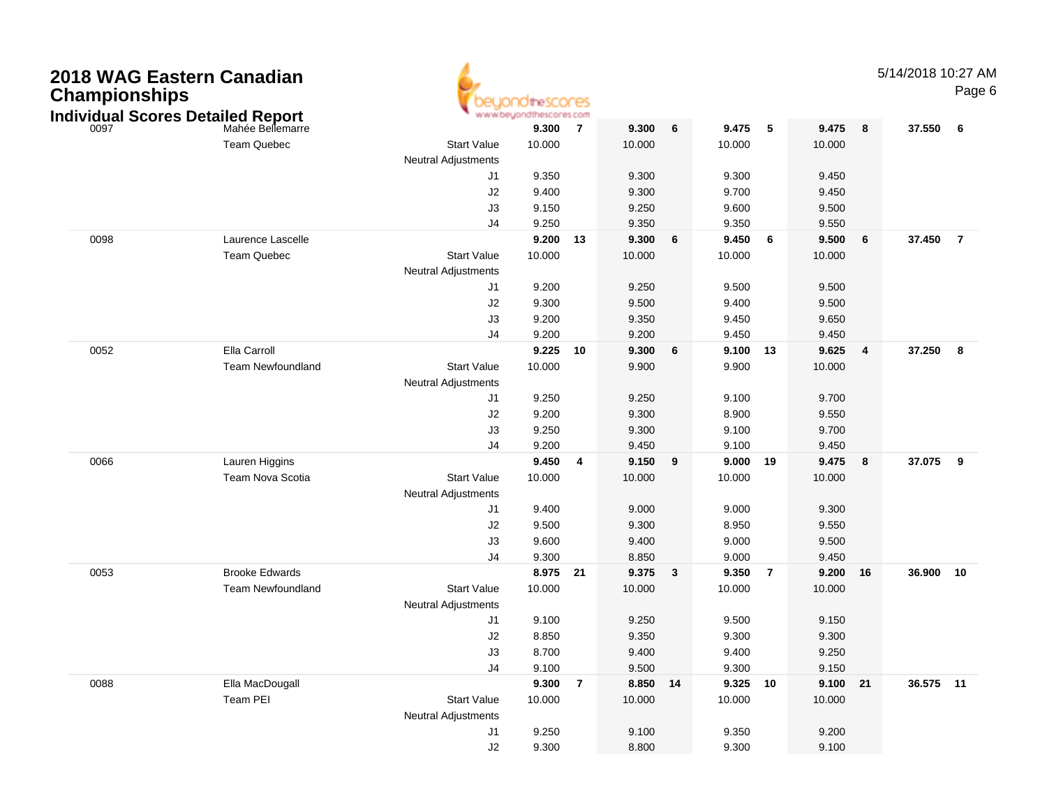| <b>Championships</b> | 2018 WAG Eastern Canadian<br><b>Individual Scores Detailed Report</b> |                                                  | 105COF05.COM |                |          |   |          |    |          |    | 5/14/2018 10:27 AM | Page 6         |
|----------------------|-----------------------------------------------------------------------|--------------------------------------------------|--------------|----------------|----------|---|----------|----|----------|----|--------------------|----------------|
| 0097                 | Mahée Bellemarre                                                      |                                                  | 9.300        | $\overline{7}$ | 9.300    | 6 | 9.475    | 5  | 9.475    | 8  | 37.550             | 6              |
|                      | <b>Team Quebec</b>                                                    | <b>Start Value</b>                               | 10.000       |                | 10.000   |   | 10.000   |    | 10.000   |    |                    |                |
|                      |                                                                       | Neutral Adjustments                              |              |                |          |   |          |    |          |    |                    |                |
|                      |                                                                       | J1                                               | 9.350        |                | 9.300    |   | 9.300    |    | 9.450    |    |                    |                |
|                      |                                                                       | J <sub>2</sub>                                   | 9.400        |                | 9.300    |   | 9.700    |    | 9.450    |    |                    |                |
|                      |                                                                       | J3                                               | 9.150        |                | 9.250    |   | 9.600    |    | 9.500    |    |                    |                |
|                      |                                                                       | J <sub>4</sub>                                   | 9.250        |                | 9.350    |   | 9.350    |    | 9.550    |    |                    |                |
| 0098                 | Laurence Lascelle                                                     |                                                  | 9.200 13     |                | 9.300    | 6 | 9.450    | 6  | 9.500    | 6  | 37.450             | $\overline{7}$ |
|                      | Team Quebec                                                           | <b>Start Value</b>                               | 10.000       |                | 10.000   |   | 10.000   |    | 10.000   |    |                    |                |
|                      |                                                                       | <b>Neutral Adjustments</b>                       |              |                |          |   |          |    |          |    |                    |                |
|                      |                                                                       | J1                                               | 9.200        |                | 9.250    |   | 9.500    |    | 9.500    |    |                    |                |
|                      |                                                                       | J <sub>2</sub>                                   | 9.300        |                | 9.500    |   | 9.400    |    | 9.500    |    |                    |                |
|                      |                                                                       | J3                                               | 9.200        |                | 9.350    |   | 9.450    |    | 9.650    |    |                    |                |
|                      |                                                                       | J <sub>4</sub>                                   | 9.200        |                | 9.200    |   | 9.450    |    | 9.450    |    |                    |                |
| 0052                 | Ella Carroll                                                          |                                                  | 9.225 10     |                | 9.300    | 6 | 9.100    | 13 | 9.625    | 4  | 37.250             | 8              |
|                      | <b>Team Newfoundland</b>                                              | <b>Start Value</b><br><b>Neutral Adjustments</b> | 10.000       |                | 9.900    |   | 9.900    |    | 10.000   |    |                    |                |
|                      |                                                                       | J1                                               | 9.250        |                | 9.250    |   | 9.100    |    | 9.700    |    |                    |                |
|                      |                                                                       | J <sub>2</sub>                                   | 9.200        |                | 9.300    |   | 8.900    |    | 9.550    |    |                    |                |
|                      |                                                                       | J3                                               | 9.250        |                | 9.300    |   | 9.100    |    | 9.700    |    |                    |                |
|                      |                                                                       | J <sub>4</sub>                                   | 9.200        |                | 9.450    |   | 9.100    |    | 9.450    |    |                    |                |
| 0066                 | Lauren Higgins                                                        |                                                  | 9.450        | 4              | 9.150    | 9 | 9.000    | 19 | 9.475    | 8  | 37.075             | $_{9}$         |
|                      | Team Nova Scotia                                                      | <b>Start Value</b>                               | 10.000       |                | 10.000   |   | 10.000   |    | 10.000   |    |                    |                |
|                      |                                                                       | <b>Neutral Adjustments</b>                       |              |                |          |   |          |    |          |    |                    |                |
|                      |                                                                       | J1                                               | 9.400        |                | 9.000    |   | 9.000    |    | 9.300    |    |                    |                |
|                      |                                                                       | J <sub>2</sub>                                   | 9.500        |                | 9.300    |   | 8.950    |    | 9.550    |    |                    |                |
|                      |                                                                       | J3                                               | 9.600        |                | 9.400    |   | 9.000    |    | 9.500    |    |                    |                |
|                      |                                                                       | J <sub>4</sub>                                   | 9.300        |                | 8.850    |   | 9.000    |    | 9.450    |    |                    |                |
| 0053                 | <b>Brooke Edwards</b>                                                 |                                                  | 8.975 21     |                | 9.375    | 3 | 9.350    | 7  | 9.200    | 16 | 36.900 10          |                |
|                      | <b>Team Newfoundland</b>                                              | <b>Start Value</b>                               | 10.000       |                | 10.000   |   | 10.000   |    | 10.000   |    |                    |                |
|                      |                                                                       | <b>Neutral Adjustments</b>                       |              |                |          |   |          |    |          |    |                    |                |
|                      |                                                                       | J1                                               | 9.100        |                | 9.250    |   | 9.500    |    | 9.150    |    |                    |                |
|                      |                                                                       | J <sub>2</sub>                                   | 8.850        |                | 9.350    |   | 9.300    |    | 9.300    |    |                    |                |
|                      |                                                                       | J3                                               | 8.700        |                | 9.400    |   | 9.400    |    | 9.250    |    |                    |                |
|                      |                                                                       | J4                                               | 9.100        |                | 9.500    |   | 9.300    |    | 9.150    |    |                    |                |
| 0088                 | Ella MacDougall                                                       |                                                  | 9.300 7      |                | 8.850 14 |   | 9.325 10 |    | 9.100 21 |    | 36.575 11          |                |
|                      | Team PEI                                                              | <b>Start Value</b>                               | 10.000       |                | 10.000   |   | 10.000   |    | 10.000   |    |                    |                |
|                      |                                                                       | Neutral Adjustments                              |              |                |          |   |          |    |          |    |                    |                |
|                      |                                                                       | J1                                               | 9.250        |                | 9.100    |   | 9.350    |    | 9.200    |    |                    |                |
|                      |                                                                       | $\sf J2$                                         | 9.300        |                | 8.800    |   | 9.300    |    | 9.100    |    |                    |                |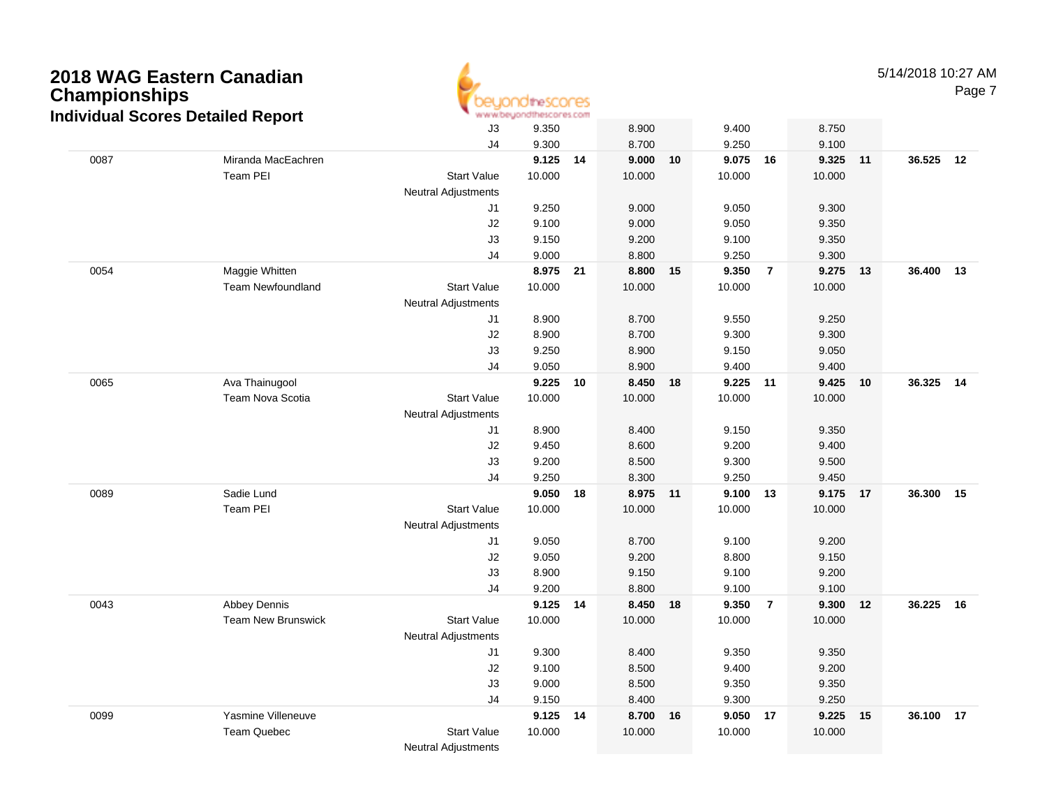| <b>Championships</b> | 2018 WAG Eastern Canadian<br><b>Individual Scores Detailed Report</b> |                            | <b>10theSCOCES</b><br>www.beyondthescores.com |      |                 |       |                |                |                    |       | 5/14/2018 10:27 AM | Page 7 |
|----------------------|-----------------------------------------------------------------------|----------------------------|-----------------------------------------------|------|-----------------|-------|----------------|----------------|--------------------|-------|--------------------|--------|
|                      |                                                                       | J3                         | 9.350                                         |      | 8.900           |       | 9.400          |                | 8.750              |       |                    |        |
|                      |                                                                       | J <sub>4</sub>             | 9.300                                         |      | 8.700           |       | 9.250          |                | 9.100              |       |                    |        |
| 0087                 | Miranda MacEachren                                                    |                            | 9.125                                         | 14   | 9.000           | 10    | 9.075          | 16             | 9.325 11           |       | 36.525 12          |        |
|                      | Team PEI                                                              | <b>Start Value</b>         | 10.000                                        |      | 10.000          |       | 10.000         |                | 10.000             |       |                    |        |
|                      |                                                                       | <b>Neutral Adjustments</b> |                                               |      |                 |       |                |                |                    |       |                    |        |
|                      |                                                                       | J1                         | 9.250                                         |      | 9.000           |       | 9.050          |                | 9.300              |       |                    |        |
|                      |                                                                       | J2                         | 9.100                                         |      | 9.000           |       | 9.050          |                | 9.350              |       |                    |        |
|                      |                                                                       | J3                         | 9.150                                         |      | 9.200           |       | 9.100          |                | 9.350              |       |                    |        |
|                      |                                                                       | J <sub>4</sub>             | 9.000                                         |      | 8.800           |       | 9.250          |                | 9.300              |       |                    |        |
| 0054                 | Maggie Whitten                                                        |                            | 8.975                                         | 21   | 8.800           | 15    | 9.350          | $\overline{7}$ | 9.275 13           |       | 36.400 13          |        |
|                      | <b>Team Newfoundland</b>                                              | <b>Start Value</b>         | 10.000                                        |      | 10.000          |       | 10.000         |                | 10.000             |       |                    |        |
|                      |                                                                       | <b>Neutral Adjustments</b> |                                               |      |                 |       |                |                |                    |       |                    |        |
|                      |                                                                       | J1                         | 8.900                                         |      | 8.700           |       | 9.550          |                | 9.250              |       |                    |        |
|                      |                                                                       | J <sub>2</sub>             | 8.900                                         |      | 8.700           |       | 9.300          |                | 9.300              |       |                    |        |
|                      |                                                                       | J3                         | 9.250                                         |      | 8.900           |       | 9.150          |                | 9.050              |       |                    |        |
| 0065                 |                                                                       | J <sub>4</sub>             | 9.050                                         |      | 8.900           |       | 9.400          |                | 9.400              |       |                    |        |
|                      | Ava Thainugool                                                        |                            | 9.225                                         | 10   | 8.450           | 18    | 9.225          | 11             | 9.425              | 10    | 36.325 14          |        |
|                      | Team Nova Scotia                                                      | <b>Start Value</b>         | 10.000                                        |      | 10.000          |       | 10.000         |                | 10.000             |       |                    |        |
|                      |                                                                       | <b>Neutral Adjustments</b> |                                               |      |                 |       |                |                |                    |       |                    |        |
|                      |                                                                       | J1                         | 8.900                                         |      | 8.400           |       | 9.150          |                | 9.350              |       |                    |        |
|                      |                                                                       | J2                         | 9.450                                         |      | 8.600           |       | 9.200          |                | 9.400              |       |                    |        |
|                      |                                                                       | J3                         | 9.200                                         |      | 8.500           |       | 9.300          |                | 9.500              |       |                    |        |
| 0089                 | Sadie Lund                                                            | J <sub>4</sub>             | 9.250                                         |      | 8.300           |       | 9.250<br>9.100 |                | 9.450              |       |                    |        |
|                      | Team PEI                                                              | <b>Start Value</b>         | 9.050<br>10.000                               | 18   | 8.975<br>10.000 | $-11$ | 10.000         | 13             | 9.175 17<br>10.000 |       | 36.300 15          |        |
|                      |                                                                       | <b>Neutral Adjustments</b> |                                               |      |                 |       |                |                |                    |       |                    |        |
|                      |                                                                       | J1                         | 9.050                                         |      | 8.700           |       | 9.100          |                | 9.200              |       |                    |        |
|                      |                                                                       | J2                         | 9.050                                         |      | 9.200           |       | 8.800          |                | 9.150              |       |                    |        |
|                      |                                                                       | J3                         | 8.900                                         |      | 9.150           |       | 9.100          |                | 9.200              |       |                    |        |
|                      |                                                                       | J <sub>4</sub>             | 9.200                                         |      | 8.800           |       | 9.100          |                | 9.100              |       |                    |        |
| 0043                 | Abbey Dennis                                                          |                            | 9.125                                         | - 14 | 8.450           | -18   | 9.350          | 7              | 9.300              | $-12$ | 36.225 16          |        |
|                      | <b>Team New Brunswick</b>                                             | <b>Start Value</b>         | 10.000                                        |      | 10.000          |       | 10.000         |                | 10.000             |       |                    |        |
|                      |                                                                       | <b>Neutral Adjustments</b> |                                               |      |                 |       |                |                |                    |       |                    |        |
|                      |                                                                       | J1                         | 9.300                                         |      | 8.400           |       | 9.350          |                | 9.350              |       |                    |        |
|                      |                                                                       | J2                         | 9.100                                         |      | 8.500           |       | 9.400          |                | 9.200              |       |                    |        |
|                      |                                                                       | J3                         | 9.000                                         |      | 8.500           |       | 9.350          |                | 9.350              |       |                    |        |
|                      |                                                                       | J4                         | 9.150                                         |      | 8.400           |       | 9.300          |                | 9.250              |       |                    |        |
| 0099                 | Yasmine Villeneuve                                                    |                            | 9.125 14                                      |      | 8.700 16        |       | 9.050 17       |                | 9.225 15           |       | 36.100 17          |        |
|                      | Team Quebec                                                           | <b>Start Value</b>         | 10.000                                        |      | 10.000          |       | 10.000         |                | 10.000             |       |                    |        |
|                      |                                                                       | <b>Neutral Adjustments</b> |                                               |      |                 |       |                |                |                    |       |                    |        |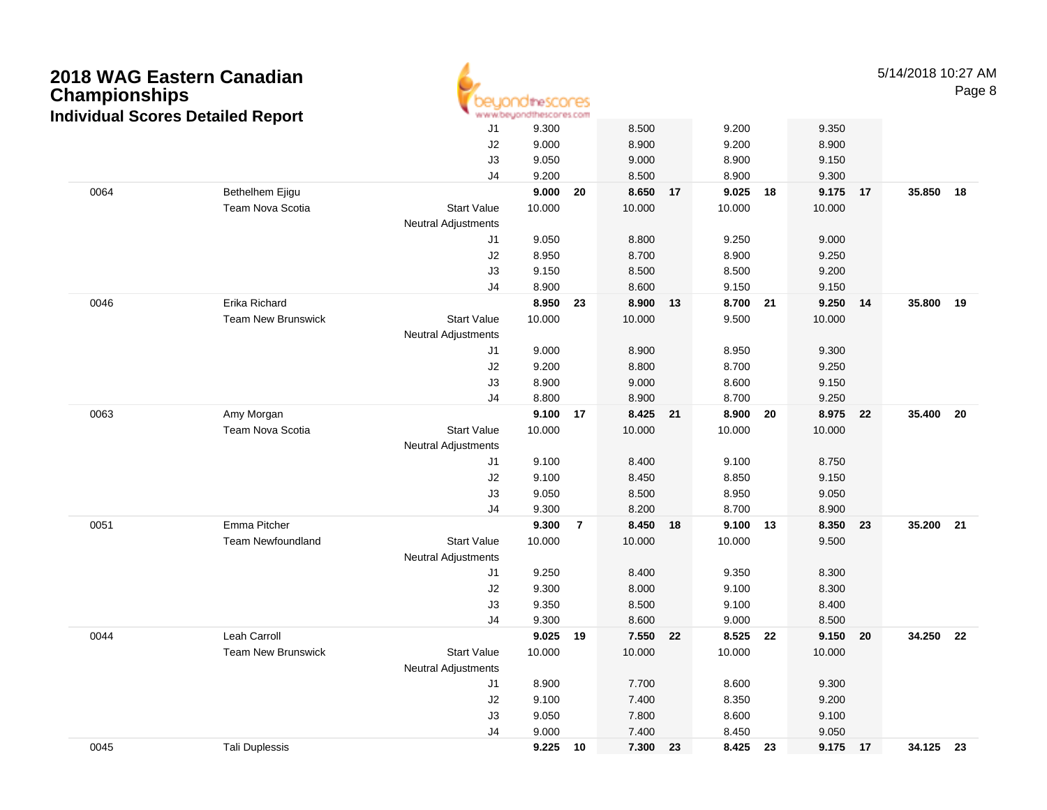| <b>Championships</b> | 2018 WAG Eastern Canadian<br><b>Individual Scores Detailed Report</b> |                            | theSCONES<br>www.beyondthescores.com |                |        |    |        |    |        |    | 5/14/2018 10:27 AM | Page 8 |
|----------------------|-----------------------------------------------------------------------|----------------------------|--------------------------------------|----------------|--------|----|--------|----|--------|----|--------------------|--------|
|                      |                                                                       | J1                         | 9.300                                |                | 8.500  |    | 9.200  |    | 9.350  |    |                    |        |
|                      |                                                                       | J2                         | 9.000                                |                | 8.900  |    | 9.200  |    | 8.900  |    |                    |        |
|                      |                                                                       | J3                         | 9.050                                |                | 9.000  |    | 8.900  |    | 9.150  |    |                    |        |
|                      |                                                                       | J <sub>4</sub>             | 9.200                                |                | 8.500  |    | 8.900  |    | 9.300  |    |                    |        |
| 0064                 | Bethelhem Ejigu                                                       |                            | 9.000                                | 20             | 8.650  | 17 | 9.025  | 18 | 9.175  | 17 | 35.850             | 18     |
|                      | Team Nova Scotia                                                      | <b>Start Value</b>         | 10.000                               |                | 10.000 |    | 10.000 |    | 10.000 |    |                    |        |
|                      |                                                                       | <b>Neutral Adjustments</b> |                                      |                |        |    |        |    |        |    |                    |        |
|                      |                                                                       | J1                         | 9.050                                |                | 8.800  |    | 9.250  |    | 9.000  |    |                    |        |
|                      |                                                                       | J2                         | 8.950                                |                | 8.700  |    | 8.900  |    | 9.250  |    |                    |        |
|                      |                                                                       | J3                         | 9.150                                |                | 8.500  |    | 8.500  |    | 9.200  |    |                    |        |
|                      |                                                                       | J <sub>4</sub>             | 8.900                                |                | 8.600  |    | 9.150  |    | 9.150  |    |                    |        |
| 0046                 | Erika Richard                                                         |                            | 8.950                                | 23             | 8.900  | 13 | 8.700  | 21 | 9.250  | 14 | 35.800             | 19     |
|                      | <b>Team New Brunswick</b>                                             | <b>Start Value</b>         | 10.000                               |                | 10.000 |    | 9.500  |    | 10.000 |    |                    |        |
|                      |                                                                       | <b>Neutral Adjustments</b> |                                      |                |        |    |        |    |        |    |                    |        |
|                      |                                                                       | J1                         | 9.000                                |                | 8.900  |    | 8.950  |    | 9.300  |    |                    |        |
|                      |                                                                       | J2                         | 9.200                                |                | 8.800  |    | 8.700  |    | 9.250  |    |                    |        |
|                      |                                                                       | J3                         | 8.900                                |                | 9.000  |    | 8.600  |    | 9.150  |    |                    |        |
|                      |                                                                       | J <sub>4</sub>             | 8.800                                |                | 8.900  |    | 8.700  |    | 9.250  |    |                    |        |
| 0063                 | Amy Morgan                                                            |                            | 9.100                                | 17             | 8.425  | 21 | 8.900  | 20 | 8.975  | 22 | 35.400             | 20     |
|                      | Team Nova Scotia                                                      | <b>Start Value</b>         | 10.000                               |                | 10.000 |    | 10.000 |    | 10.000 |    |                    |        |
|                      |                                                                       | <b>Neutral Adjustments</b> |                                      |                |        |    |        |    |        |    |                    |        |
|                      |                                                                       | J1                         | 9.100                                |                | 8.400  |    | 9.100  |    | 8.750  |    |                    |        |
|                      |                                                                       | J2                         | 9.100                                |                | 8.450  |    | 8.850  |    | 9.150  |    |                    |        |
|                      |                                                                       | J3                         | 9.050                                |                | 8.500  |    | 8.950  |    | 9.050  |    |                    |        |
|                      |                                                                       | J <sub>4</sub>             | 9.300                                |                | 8.200  |    | 8.700  |    | 8.900  |    |                    |        |
| 0051                 | Emma Pitcher                                                          |                            | 9.300                                | $\overline{7}$ | 8.450  | 18 | 9.100  | 13 | 8.350  | 23 | 35.200             | 21     |
|                      | <b>Team Newfoundland</b>                                              | <b>Start Value</b>         | 10.000                               |                | 10.000 |    | 10.000 |    | 9.500  |    |                    |        |
|                      |                                                                       | <b>Neutral Adjustments</b> |                                      |                |        |    |        |    |        |    |                    |        |
|                      |                                                                       | J1                         | 9.250                                |                | 8.400  |    | 9.350  |    | 8.300  |    |                    |        |
|                      |                                                                       | J2                         | 9.300                                |                | 8.000  |    | 9.100  |    | 8.300  |    |                    |        |
|                      |                                                                       | J3                         | 9.350                                |                | 8.500  |    | 9.100  |    | 8.400  |    |                    |        |
|                      |                                                                       | J4                         | 9.300                                |                | 8.600  |    | 9.000  |    | 8.500  |    |                    |        |
| 0044                 | Leah Carroll                                                          |                            | 9.025                                | 19             | 7.550  | 22 | 8.525  | 22 | 9.150  | 20 | 34.250             | 22     |
|                      | Team New Brunswick                                                    | <b>Start Value</b>         | 10.000                               |                | 10.000 |    | 10.000 |    | 10.000 |    |                    |        |
|                      |                                                                       | Neutral Adjustments        |                                      |                |        |    |        |    |        |    |                    |        |
|                      |                                                                       | J1                         | 8.900                                |                | 7.700  |    | 8.600  |    | 9.300  |    |                    |        |
|                      |                                                                       | J2                         | 9.100                                |                | 7.400  |    | 8.350  |    | 9.200  |    |                    |        |
|                      |                                                                       | J3                         | 9.050                                |                | 7.800  |    | 8.600  |    | 9.100  |    |                    |        |
|                      |                                                                       | J4                         | 9.000                                |                | 7.400  |    | 8.450  |    | 9.050  |    |                    |        |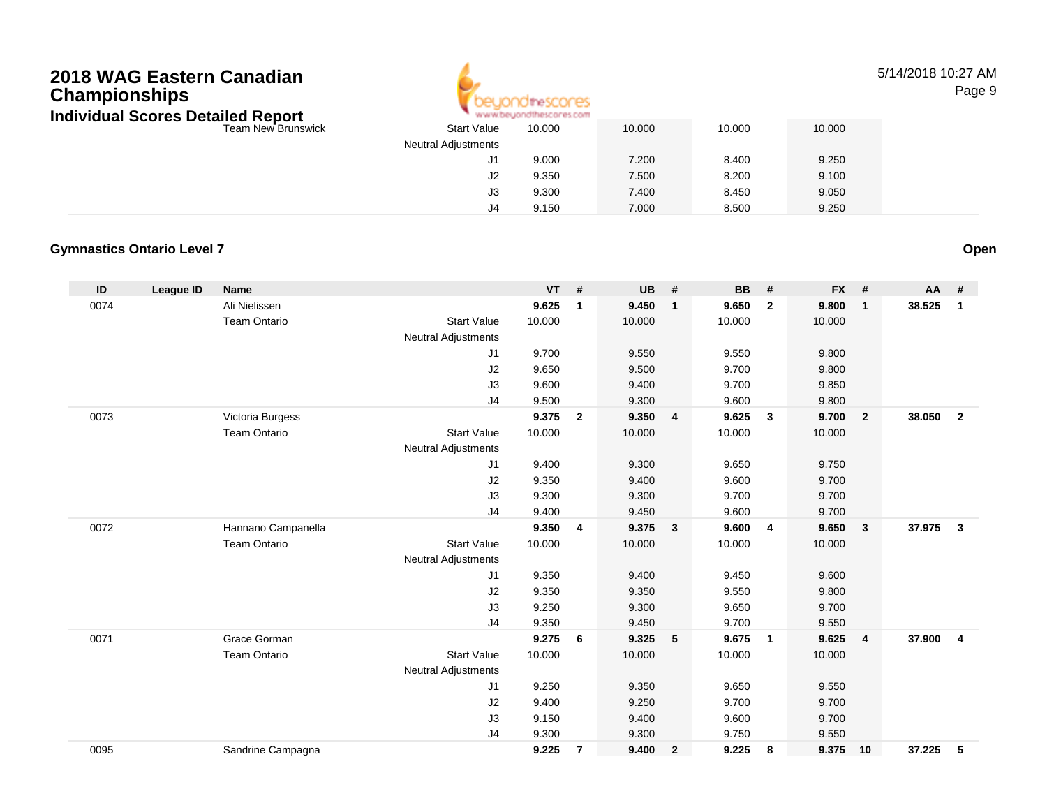

#### 5/14/2018 10:27 AMPage 9

| ındıvıdual Scores Detailed Report |                            | www.beyondthescores.com |        |        |        |
|-----------------------------------|----------------------------|-------------------------|--------|--------|--------|
| Team New Brunswick                | <b>Start Value</b>         | 10.000                  | 10.000 | 10.000 | 10.000 |
|                                   | <b>Neutral Adjustments</b> |                         |        |        |        |
|                                   | J1                         | 9.000                   | 7.200  | 8.400  | 9.250  |
|                                   | J2                         | 9.350                   | 7.500  | 8.200  | 9.100  |
|                                   | J3                         | 9.300                   | 7.400  | 8.450  | 9.050  |
|                                   | J4                         | 9.150                   | 7.000  | 8.500  | 9.250  |

### **Gymnastics Ontario Level 7**

| ID   | League ID | Name                |                            | <b>VT</b> | #              | <b>UB</b> | #                       | <b>BB</b> | #              | <b>FX</b> | #              | <b>AA</b> | #              |
|------|-----------|---------------------|----------------------------|-----------|----------------|-----------|-------------------------|-----------|----------------|-----------|----------------|-----------|----------------|
| 0074 |           | Ali Nielissen       |                            | 9.625     | $\mathbf{1}$   | 9.450     | $\mathbf{1}$            | 9.650     | $\overline{2}$ | 9.800     | $\mathbf{1}$   | 38.525    | $\mathbf{1}$   |
|      |           | <b>Team Ontario</b> | <b>Start Value</b>         | 10.000    |                | 10.000    |                         | 10.000    |                | 10.000    |                |           |                |
|      |           |                     | <b>Neutral Adjustments</b> |           |                |           |                         |           |                |           |                |           |                |
|      |           |                     | J1                         | 9.700     |                | 9.550     |                         | 9.550     |                | 9.800     |                |           |                |
|      |           |                     | J2                         | 9.650     |                | 9.500     |                         | 9.700     |                | 9.800     |                |           |                |
|      |           |                     | J3                         | 9.600     |                | 9.400     |                         | 9.700     |                | 9.850     |                |           |                |
|      |           |                     | J4                         | 9.500     |                | 9.300     |                         | 9.600     |                | 9.800     |                |           |                |
| 0073 |           | Victoria Burgess    |                            | 9.375     | $\overline{2}$ | 9.350     | $\overline{4}$          | 9.625     | $\mathbf{3}$   | 9.700     | $\overline{2}$ | 38.050    | $\overline{2}$ |
|      |           | <b>Team Ontario</b> | <b>Start Value</b>         | 10.000    |                | 10.000    |                         | 10.000    |                | 10.000    |                |           |                |
|      |           |                     | <b>Neutral Adjustments</b> |           |                |           |                         |           |                |           |                |           |                |
|      |           |                     | J1                         | 9.400     |                | 9.300     |                         | 9.650     |                | 9.750     |                |           |                |
|      |           |                     | J2                         | 9.350     |                | 9.400     |                         | 9.600     |                | 9.700     |                |           |                |
|      |           |                     | J3                         | 9.300     |                | 9.300     |                         | 9.700     |                | 9.700     |                |           |                |
|      |           |                     | J4                         | 9.400     |                | 9.450     |                         | 9.600     |                | 9.700     |                |           |                |
| 0072 |           | Hannano Campanella  |                            | 9.350     | $\overline{4}$ | 9.375     | $\overline{\mathbf{3}}$ | 9.600     | $\overline{4}$ | 9.650     | $\mathbf{3}$   | 37.975    | $\mathbf{3}$   |
|      |           | Team Ontario        | <b>Start Value</b>         | 10.000    |                | 10.000    |                         | 10.000    |                | 10.000    |                |           |                |
|      |           |                     | <b>Neutral Adjustments</b> |           |                |           |                         |           |                |           |                |           |                |
|      |           |                     | J1                         | 9.350     |                | 9.400     |                         | 9.450     |                | 9.600     |                |           |                |
|      |           |                     | J2                         | 9.350     |                | 9.350     |                         | 9.550     |                | 9.800     |                |           |                |
|      |           |                     | J3                         | 9.250     |                | 9.300     |                         | 9.650     |                | 9.700     |                |           |                |
|      |           |                     | J <sub>4</sub>             | 9.350     |                | 9.450     |                         | 9.700     |                | 9.550     |                |           |                |
| 0071 |           | Grace Gorman        |                            | 9.275     | 6              | 9.325     | 5                       | 9.675     | $\overline{1}$ | 9.625     | $\overline{4}$ | 37.900    | $\overline{4}$ |
|      |           | <b>Team Ontario</b> | <b>Start Value</b>         | 10.000    |                | 10.000    |                         | 10.000    |                | 10.000    |                |           |                |
|      |           |                     | <b>Neutral Adjustments</b> |           |                |           |                         |           |                |           |                |           |                |
|      |           |                     | J1                         | 9.250     |                | 9.350     |                         | 9.650     |                | 9.550     |                |           |                |
|      |           |                     | J2                         | 9.400     |                | 9.250     |                         | 9.700     |                | 9.700     |                |           |                |
|      |           |                     | J3                         | 9.150     |                | 9.400     |                         | 9.600     |                | 9.700     |                |           |                |
|      |           |                     | J4                         | 9.300     |                | 9.300     |                         | 9.750     |                | 9.550     |                |           |                |
| 0095 |           | Sandrine Campagna   |                            | 9.225     | $\overline{7}$ | 9.400     | $\overline{2}$          | 9.225     | 8              | 9.375     | 10             | 37.225    | 5              |

**Open**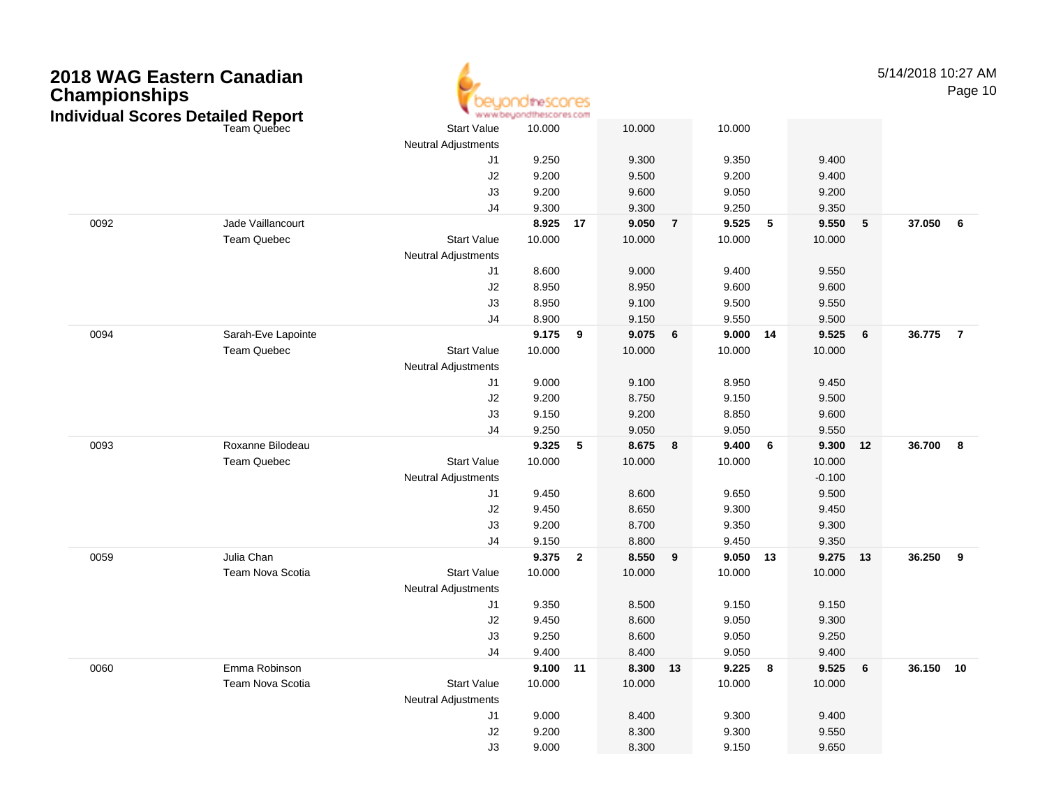| <b>Championships</b> | 2018 WAG Eastern Canadian<br><b>Individual Scores Detailed Report</b> |                            | <b>10theSCONES</b><br>www.beyondthescores.com |                         |                 |                |                |    |                |    | 5/14/2018 10:27 AM | Page 10        |
|----------------------|-----------------------------------------------------------------------|----------------------------|-----------------------------------------------|-------------------------|-----------------|----------------|----------------|----|----------------|----|--------------------|----------------|
|                      | Team Quebec                                                           | <b>Start Value</b>         | 10.000                                        |                         | 10.000          |                | 10.000         |    |                |    |                    |                |
|                      |                                                                       | <b>Neutral Adjustments</b> |                                               |                         |                 |                |                |    |                |    |                    |                |
|                      |                                                                       | J1                         | 9.250                                         |                         | 9.300           |                | 9.350          |    | 9.400          |    |                    |                |
|                      |                                                                       | J2<br>J3                   | 9.200<br>9.200                                |                         | 9.500<br>9.600  |                | 9.200<br>9.050 |    | 9.400<br>9.200 |    |                    |                |
|                      |                                                                       | J4                         | 9.300                                         |                         | 9.300           |                | 9.250          |    | 9.350          |    |                    |                |
| 0092                 | Jade Vaillancourt                                                     |                            | 8.925                                         | 17                      | 9.050           | $\overline{7}$ | 9.525          | 5  | 9.550          | 5  | 37.050             | - 6            |
|                      | <b>Team Quebec</b>                                                    | <b>Start Value</b>         | 10.000                                        |                         | 10.000          |                | 10.000         |    | 10.000         |    |                    |                |
|                      |                                                                       | <b>Neutral Adjustments</b> |                                               |                         |                 |                |                |    |                |    |                    |                |
|                      |                                                                       | J1                         | 8.600                                         |                         | 9.000           |                | 9.400          |    | 9.550          |    |                    |                |
|                      |                                                                       | J2                         | 8.950                                         |                         | 8.950           |                | 9.600          |    | 9.600          |    |                    |                |
|                      |                                                                       | J3                         | 8.950                                         |                         | 9.100           |                | 9.500          |    | 9.550          |    |                    |                |
|                      |                                                                       | J4                         | 8.900                                         |                         | 9.150           |                | 9.550          |    | 9.500          |    |                    |                |
| 0094                 | Sarah-Eve Lapointe                                                    |                            | 9.175                                         | 9                       | 9.075           | 6              | 9.000          | 14 | 9.525          | 6  | 36.775             | $\overline{7}$ |
|                      | <b>Team Quebec</b>                                                    | <b>Start Value</b>         | 10.000                                        |                         | 10.000          |                | 10.000         |    | 10.000         |    |                    |                |
|                      |                                                                       | <b>Neutral Adjustments</b> |                                               |                         |                 |                |                |    |                |    |                    |                |
|                      |                                                                       | J1                         | 9.000                                         |                         | 9.100           |                | 8.950          |    | 9.450          |    |                    |                |
|                      |                                                                       | J2                         | 9.200                                         |                         | 8.750           |                | 9.150          |    | 9.500          |    |                    |                |
|                      |                                                                       | J3                         | 9.150                                         |                         | 9.200           |                | 8.850          |    | 9.600          |    |                    |                |
|                      |                                                                       | J4                         | 9.250                                         |                         | 9.050           |                | 9.050          |    | 9.550          |    |                    |                |
| 0093                 | Roxanne Bilodeau                                                      |                            | 9.325                                         | 5                       | 8.675           | 8              | 9.400          | 6  | 9.300          | 12 | 36.700             | - 8            |
|                      | <b>Team Quebec</b>                                                    | <b>Start Value</b>         | 10.000                                        |                         | 10.000          |                | 10.000         |    | 10.000         |    |                    |                |
|                      |                                                                       | <b>Neutral Adjustments</b> |                                               |                         |                 |                |                |    | $-0.100$       |    |                    |                |
|                      |                                                                       | J1                         | 9.450                                         |                         | 8.600           |                | 9.650          |    | 9.500          |    |                    |                |
|                      |                                                                       | J2                         | 9.450                                         |                         | 8.650           |                | 9.300          |    | 9.450          |    |                    |                |
|                      |                                                                       | J3                         | 9.200                                         |                         | 8.700           |                | 9.350          |    | 9.300          |    |                    |                |
| 0059                 | Julia Chan                                                            | J4                         | 9.150                                         | $\overline{\mathbf{2}}$ | 8.800           |                | 9.450<br>9.050 | 13 | 9.350<br>9.275 |    |                    | 9              |
|                      | Team Nova Scotia                                                      | <b>Start Value</b>         | 9.375<br>10.000                               |                         | 8.550<br>10.000 | 9              | 10.000         |    | 10.000         | 13 | 36.250             |                |
|                      |                                                                       | <b>Neutral Adjustments</b> |                                               |                         |                 |                |                |    |                |    |                    |                |
|                      |                                                                       | J1                         | 9.350                                         |                         | 8.500           |                | 9.150          |    | 9.150          |    |                    |                |
|                      |                                                                       | J2                         | 9.450                                         |                         | 8.600           |                | 9.050          |    | 9.300          |    |                    |                |
|                      |                                                                       | J3                         | 9.250                                         |                         | 8.600           |                | 9.050          |    | 9.250          |    |                    |                |
|                      |                                                                       | J4                         | 9.400                                         |                         | 8.400           |                | 9.050          |    | 9.400          |    |                    |                |
| 0060                 | Emma Robinson                                                         |                            | 9.100 11                                      |                         | 8.300 13        |                | 9.225          | 8  | 9.525          | 6  | 36.150 10          |                |
|                      | Team Nova Scotia                                                      | <b>Start Value</b>         | 10.000                                        |                         | 10.000          |                | 10.000         |    | 10.000         |    |                    |                |
|                      |                                                                       | <b>Neutral Adjustments</b> |                                               |                         |                 |                |                |    |                |    |                    |                |
|                      |                                                                       | J1                         | 9.000                                         |                         | 8.400           |                | 9.300          |    | 9.400          |    |                    |                |
|                      |                                                                       | J2                         | 9.200                                         |                         | 8.300           |                | 9.300          |    | 9.550          |    |                    |                |
|                      |                                                                       | J3                         | 9.000                                         |                         | 8.300           |                | 9.150          |    | 9.650          |    |                    |                |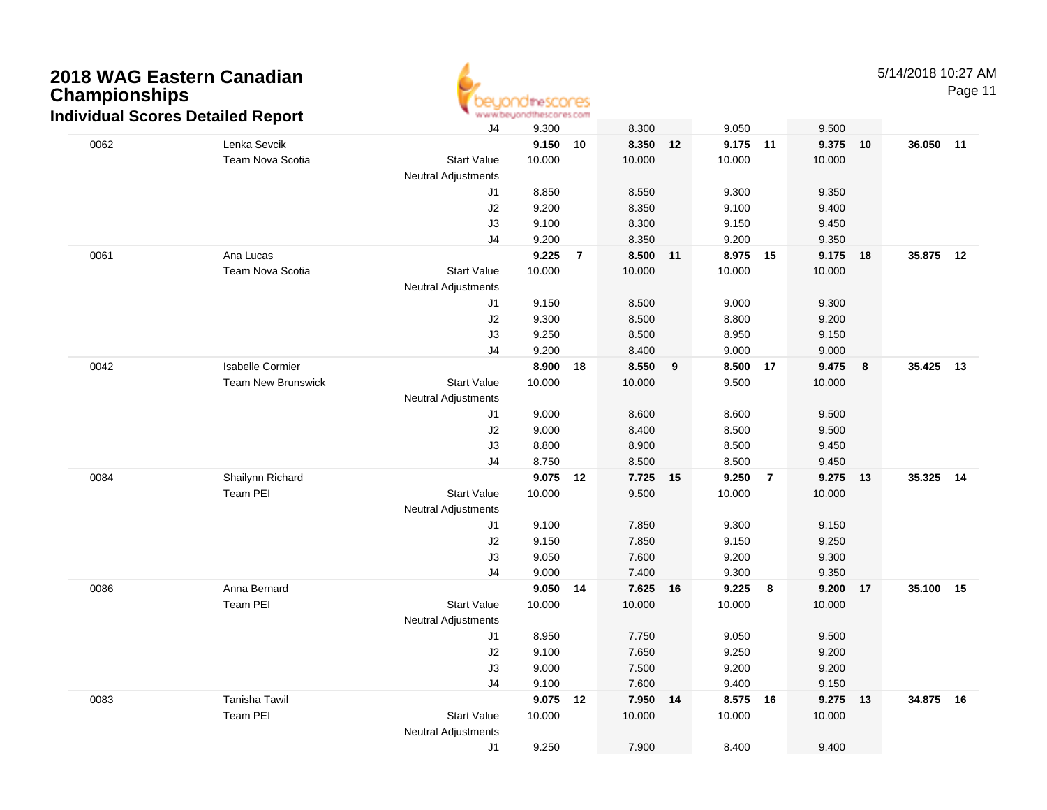

Page 11

|                           | J4                                                          | 9.300                                |                          | 8.300                                                                         |                 | 9.050  |                          | 9.500                      |                |                                                                   |                                                                            |
|---------------------------|-------------------------------------------------------------|--------------------------------------|--------------------------|-------------------------------------------------------------------------------|-----------------|--------|--------------------------|----------------------------|----------------|-------------------------------------------------------------------|----------------------------------------------------------------------------|
| Lenka Sevcik              |                                                             |                                      |                          | 8.350                                                                         | 12              |        |                          |                            |                |                                                                   |                                                                            |
| Team Nova Scotia          | <b>Start Value</b>                                          | 10.000                               |                          | 10.000                                                                        |                 | 10.000 |                          | 10.000                     |                |                                                                   |                                                                            |
|                           | <b>Neutral Adjustments</b>                                  |                                      |                          |                                                                               |                 |        |                          |                            |                |                                                                   |                                                                            |
|                           | J1                                                          | 8.850                                |                          | 8.550                                                                         |                 | 9.300  |                          | 9.350                      |                |                                                                   |                                                                            |
|                           | J2                                                          | 9.200                                |                          | 8.350                                                                         |                 | 9.100  |                          | 9.400                      |                |                                                                   |                                                                            |
|                           |                                                             |                                      |                          |                                                                               |                 | 9.150  |                          |                            |                |                                                                   |                                                                            |
|                           | J4                                                          |                                      |                          | 8.350                                                                         |                 |        |                          |                            |                |                                                                   |                                                                            |
| Ana Lucas                 |                                                             | 9.225                                | $\overline{7}$           | 8.500                                                                         | 11              |        | 15                       |                            |                |                                                                   |                                                                            |
| Team Nova Scotia          |                                                             |                                      |                          |                                                                               |                 |        |                          | 10.000                     |                |                                                                   |                                                                            |
|                           | <b>Neutral Adjustments</b>                                  |                                      |                          |                                                                               |                 |        |                          |                            |                |                                                                   |                                                                            |
|                           | J1                                                          | 9.150                                |                          | 8.500                                                                         |                 | 9.000  |                          | 9.300                      |                |                                                                   |                                                                            |
|                           |                                                             | 9.300                                |                          | 8.500                                                                         |                 | 8.800  |                          | 9.200                      |                |                                                                   |                                                                            |
|                           | J3                                                          | 9.250                                |                          | 8.500                                                                         |                 | 8.950  |                          | 9.150                      |                |                                                                   |                                                                            |
|                           | J4                                                          | 9.200                                |                          | 8.400                                                                         |                 | 9.000  |                          | 9.000                      |                |                                                                   |                                                                            |
|                           |                                                             | 8.900                                |                          | 8.550                                                                         | 9               |        | 17                       |                            | 8              |                                                                   |                                                                            |
| <b>Team New Brunswick</b> | <b>Start Value</b>                                          | 10.000                               |                          | 10.000                                                                        |                 | 9.500  |                          | 10.000                     |                |                                                                   |                                                                            |
|                           | <b>Neutral Adjustments</b>                                  |                                      |                          |                                                                               |                 |        |                          |                            |                |                                                                   |                                                                            |
|                           | J <sub>1</sub>                                              | 9.000                                |                          | 8.600                                                                         |                 | 8.600  |                          | 9.500                      |                |                                                                   |                                                                            |
|                           | J2                                                          | 9.000                                |                          | 8.400                                                                         |                 | 8.500  |                          | 9.500                      |                |                                                                   |                                                                            |
|                           | J3                                                          | 8.800                                |                          | 8.900                                                                         |                 | 8.500  |                          | 9.450                      |                |                                                                   |                                                                            |
|                           | J4                                                          | 8.750                                |                          | 8.500                                                                         |                 | 8.500  |                          | 9.450                      |                |                                                                   |                                                                            |
| Shailynn Richard          |                                                             | 9.075                                |                          | 7.725                                                                         | 15              | 9.250  | $\overline{7}$           |                            |                |                                                                   |                                                                            |
| Team PEI                  | <b>Start Value</b>                                          | 10.000                               |                          | 9.500                                                                         |                 | 10.000 |                          | 10.000                     |                |                                                                   |                                                                            |
|                           | <b>Neutral Adjustments</b>                                  |                                      |                          |                                                                               |                 |        |                          |                            |                |                                                                   |                                                                            |
|                           | J1                                                          | 9.100                                |                          | 7.850                                                                         |                 | 9.300  |                          | 9.150                      |                |                                                                   |                                                                            |
|                           |                                                             | 9.150                                |                          | 7.850                                                                         |                 | 9.150  |                          | 9.250                      |                |                                                                   |                                                                            |
|                           | J3                                                          | 9.050                                |                          | 7.600                                                                         |                 | 9.200  |                          | 9.300                      |                |                                                                   |                                                                            |
|                           | J <sub>4</sub>                                              | 9.000                                |                          | 7.400                                                                         |                 | 9.300  |                          | 9.350                      |                |                                                                   |                                                                            |
| Anna Bernard              |                                                             |                                      |                          | 7.625                                                                         | 16              | 9.225  | 8                        |                            |                |                                                                   |                                                                            |
| Team PEI                  | <b>Start Value</b>                                          | 10.000                               |                          | 10.000                                                                        |                 | 10.000 |                          | 10.000                     |                |                                                                   |                                                                            |
|                           | <b>Neutral Adjustments</b>                                  |                                      |                          |                                                                               |                 |        |                          |                            |                |                                                                   |                                                                            |
|                           | J1                                                          | 8.950                                |                          | 7.750                                                                         |                 | 9.050  |                          | 9.500                      |                |                                                                   |                                                                            |
|                           | J2                                                          | 9.100                                |                          | 7.650                                                                         |                 | 9.250  |                          | 9.200                      |                |                                                                   |                                                                            |
|                           | J3                                                          | 9.000                                |                          | 7.500                                                                         |                 | 9.200  |                          | 9.200                      |                |                                                                   |                                                                            |
|                           | J4                                                          | 9.100                                |                          | 7.600                                                                         |                 | 9.400  |                          | 9.150                      |                |                                                                   |                                                                            |
| Tanisha Tawil             |                                                             | 9.075                                |                          | 7.950                                                                         | 14              |        | 16                       |                            |                |                                                                   |                                                                            |
| Team PEI                  | <b>Start Value</b>                                          | 10.000                               |                          | 10.000                                                                        |                 | 10.000 |                          | 10.000                     |                |                                                                   |                                                                            |
|                           | Neutral Adjustments                                         |                                      |                          |                                                                               |                 |        |                          |                            |                |                                                                   |                                                                            |
|                           | J1                                                          | 9.250                                |                          | 7.900                                                                         |                 | 8.400  |                          | 9.400                      |                |                                                                   |                                                                            |
|                           | ndividual Scores Detailed Report<br><b>Isabelle Cormier</b> | J3<br><b>Start Value</b><br>J2<br>J2 | 9.100<br>9.200<br>10.000 | <b>MAILMON/NY INTERNO ANY ANY</b><br>$9.150$ 10<br>18<br>12<br>9.050 14<br>12 | 8.300<br>10.000 |        | 9.200<br>8.975<br>10.000 | 9.175 11<br>8.500<br>8.575 | 9.450<br>9.350 | 9.375 10<br>9.175 18<br>9.475<br>9.275 13<br>9.200 17<br>9.275 13 | 36.050 11<br>35.875 12<br>35.425 13<br>35.325 14<br>35.100 15<br>34.875 16 |